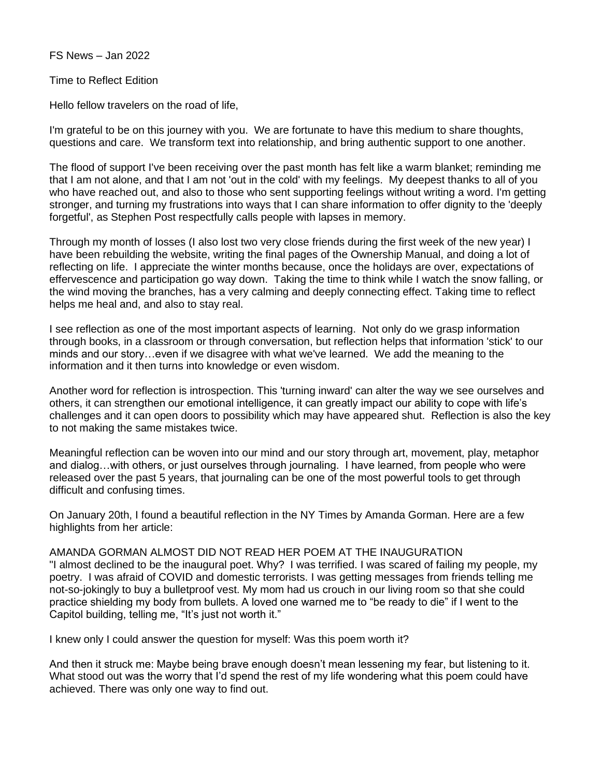FS News – Jan 2022

Time to Reflect Edition

Hello fellow travelers on the road of life,

I'm grateful to be on this journey with you. We are fortunate to have this medium to share thoughts, questions and care. We transform text into relationship, and bring authentic support to one another.

The flood of support I've been receiving over the past month has felt like a warm blanket; reminding me that I am not alone, and that I am not 'out in the cold' with my feelings. My deepest thanks to all of you who have reached out, and also to those who sent supporting feelings without writing a word. I'm getting stronger, and turning my frustrations into ways that I can share information to offer dignity to the 'deeply forgetful', as Stephen Post respectfully calls people with lapses in memory.

Through my month of losses (I also lost two very close friends during the first week of the new year) I have been rebuilding the website, writing the final pages of the Ownership Manual, and doing a lot of reflecting on life. I appreciate the winter months because, once the holidays are over, expectations of effervescence and participation go way down. Taking the time to think while I watch the snow falling, or the wind moving the branches, has a very calming and deeply connecting effect. Taking time to reflect helps me heal and, and also to stay real.

I see reflection as one of the most important aspects of learning. Not only do we grasp information through books, in a classroom or through conversation, but reflection helps that information 'stick' to our minds and our story…even if we disagree with what we've learned. We add the meaning to the information and it then turns into knowledge or even wisdom.

Another word for reflection is introspection. This 'turning inward' can alter the way we see ourselves and others, it can strengthen our emotional intelligence, it can greatly impact our ability to cope with life's challenges and it can open doors to possibility which may have appeared shut. Reflection is also the key to not making the same mistakes twice.

Meaningful reflection can be woven into our mind and our story through art, movement, play, metaphor and dialog…with others, or just ourselves through journaling. I have learned, from people who were released over the past 5 years, that journaling can be one of the most powerful tools to get through difficult and confusing times.

On January 20th, I found a beautiful reflection in the NY Times by Amanda Gorman. Here are a few highlights from her article:

AMANDA GORMAN ALMOST DID NOT READ HER POEM AT THE INAUGURATION "I almost declined to be the inaugural poet. Why? I was terrified. I was scared of failing my people, my poetry. I was afraid of COVID and domestic terrorists. I was getting messages from friends telling me not-so-jokingly to buy a bulletproof vest. My mom had us crouch in our living room so that she could practice shielding my body from bullets. A loved one warned me to "be ready to die" if I went to the Capitol building, telling me, "It's just not worth it."

I knew only I could answer the question for myself: Was this poem worth it?

And then it struck me: Maybe being brave enough doesn't mean lessening my fear, but listening to it. What stood out was the worry that I'd spend the rest of my life wondering what this poem could have achieved. There was only one way to find out.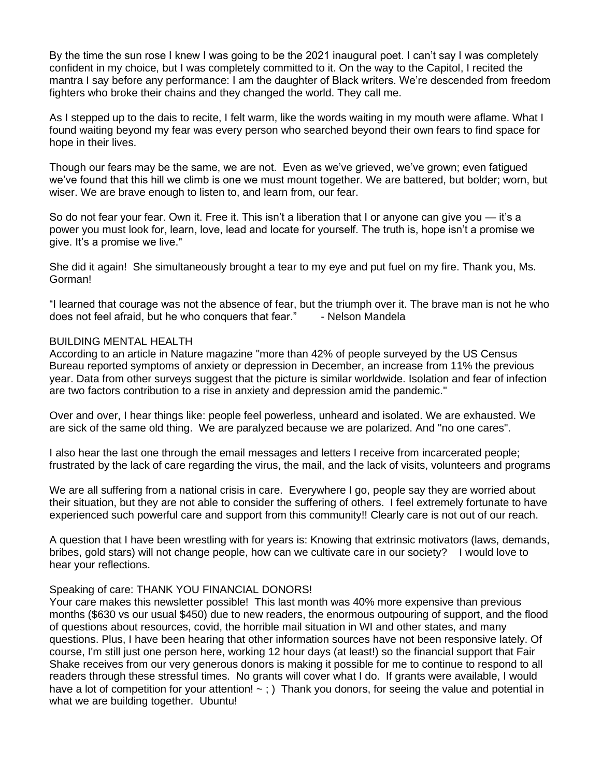By the time the sun rose I knew I was going to be the 2021 inaugural poet. I can't say I was completely confident in my choice, but I was completely committed to it. On the way to the Capitol, I recited the mantra I say before any performance: I am the daughter of Black writers. We're descended from freedom fighters who broke their chains and they changed the world. They call me.

As I stepped up to the dais to recite, I felt warm, like the words waiting in my mouth were aflame. What I found waiting beyond my fear was every person who searched beyond their own fears to find space for hope in their lives.

Though our fears may be the same, we are not. Even as we've grieved, we've grown; even fatigued we've found that this hill we climb is one we must mount together. We are battered, but bolder; worn, but wiser. We are brave enough to listen to, and learn from, our fear.

So do not fear your fear. Own it. Free it. This isn't a liberation that I or anyone can give you — it's a power you must look for, learn, love, lead and locate for yourself. The truth is, hope isn't a promise we give. It's a promise we live."

She did it again! She simultaneously brought a tear to my eye and put fuel on my fire. Thank you, Ms. Gorman!

"I learned that courage was not the absence of fear, but the triumph over it. The brave man is not he who does not feel afraid, but he who conquers that fear." - Nelson Mandela

## BUILDING MENTAL HEALTH

According to an article in Nature magazine "more than 42% of people surveyed by the US Census Bureau reported symptoms of anxiety or depression in December, an increase from 11% the previous year. Data from other surveys suggest that the picture is similar worldwide. Isolation and fear of infection are two factors contribution to a rise in anxiety and depression amid the pandemic."

Over and over, I hear things like: people feel powerless, unheard and isolated. We are exhausted. We are sick of the same old thing. We are paralyzed because we are polarized. And "no one cares".

I also hear the last one through the email messages and letters I receive from incarcerated people; frustrated by the lack of care regarding the virus, the mail, and the lack of visits, volunteers and programs

We are all suffering from a national crisis in care. Everywhere I go, people say they are worried about their situation, but they are not able to consider the suffering of others. I feel extremely fortunate to have experienced such powerful care and support from this community!! Clearly care is not out of our reach.

A question that I have been wrestling with for years is: Knowing that extrinsic motivators (laws, demands, bribes, gold stars) will not change people, how can we cultivate care in our society? I would love to hear your reflections.

#### Speaking of care: THANK YOU FINANCIAL DONORS!

Your care makes this newsletter possible! This last month was 40% more expensive than previous months (\$630 vs our usual \$450) due to new readers, the enormous outpouring of support, and the flood of questions about resources, covid, the horrible mail situation in WI and other states, and many questions. Plus, I have been hearing that other information sources have not been responsive lately. Of course, I'm still just one person here, working 12 hour days (at least!) so the financial support that Fair Shake receives from our very generous donors is making it possible for me to continue to respond to all readers through these stressful times. No grants will cover what I do. If grants were available, I would have a lot of competition for your attention!  $\sim$  ; ) Thank you donors, for seeing the value and potential in what we are building together. Ubuntu!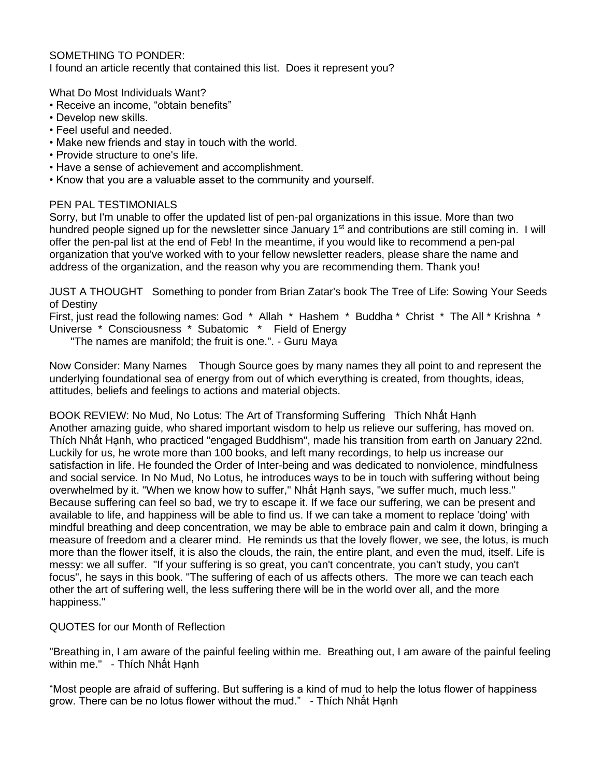## SOMETHING TO PONDER:

I found an article recently that contained this list. Does it represent you?

What Do Most Individuals Want?

- Receive an income, "obtain benefits"
- Develop new skills.
- Feel useful and needed.
- Make new friends and stay in touch with the world.
- Provide structure to one's life.
- Have a sense of achievement and accomplishment.
- Know that you are a valuable asset to the community and yourself.

# PEN PAL TESTIMONIALS

Sorry, but I'm unable to offer the updated list of pen-pal organizations in this issue. More than two hundred people signed up for the newsletter since January  $1<sup>st</sup>$  and contributions are still coming in. I will offer the pen-pal list at the end of Feb! In the meantime, if you would like to recommend a pen-pal organization that you've worked with to your fellow newsletter readers, please share the name and address of the organization, and the reason why you are recommending them. Thank you!

JUST A THOUGHT Something to ponder from Brian Zatar's book The Tree of Life: Sowing Your Seeds of Destiny

First, just read the following names: God \* Allah \* Hashem \* Buddha \* Christ \* The All \* Krishna \* Universe \* Consciousness \* Subatomic \* Field of Energy

"The names are manifold; the fruit is one.". - Guru Maya

Now Consider: Many Names Though Source goes by many names they all point to and represent the underlying foundational sea of energy from out of which everything is created, from thoughts, ideas, attitudes, beliefs and feelings to actions and material objects.

BOOK REVIEW: No Mud, No Lotus: The Art of Transforming Suffering Thích Nhất Hạnh Another amazing guide, who shared important wisdom to help us relieve our suffering, has moved on. Thích Nhất Hạnh, who practiced "engaged Buddhism", made his transition from earth on January 22nd. Luckily for us, he wrote more than 100 books, and left many recordings, to help us increase our satisfaction in life. He founded the Order of Inter-being and was dedicated to nonviolence, mindfulness and social service. In No Mud, No Lotus, he introduces ways to be in touch with suffering without being overwhelmed by it. "When we know how to suffer," Nhất Hạnh says, "we suffer much, much less." Because suffering can feel so bad, we try to escape it. If we face our suffering, we can be present and available to life, and happiness will be able to find us. If we can take a moment to replace 'doing' with mindful breathing and deep concentration, we may be able to embrace pain and calm it down, bringing a measure of freedom and a clearer mind. He reminds us that the lovely flower, we see, the lotus, is much more than the flower itself, it is also the clouds, the rain, the entire plant, and even the mud, itself. Life is messy: we all suffer. "If your suffering is so great, you can't concentrate, you can't study, you can't focus", he says in this book. "The suffering of each of us affects others. The more we can teach each other the art of suffering well, the less suffering there will be in the world over all, and the more happiness."

# QUOTES for our Month of Reflection

"Breathing in, I am aware of the painful feeling within me. Breathing out, I am aware of the painful feeling within me." - Thích Nhất Hanh

"Most people are afraid of suffering. But suffering is a kind of mud to help the lotus flower of happiness grow. There can be no lotus flower without the mud." - Thích Nhất Hạnh